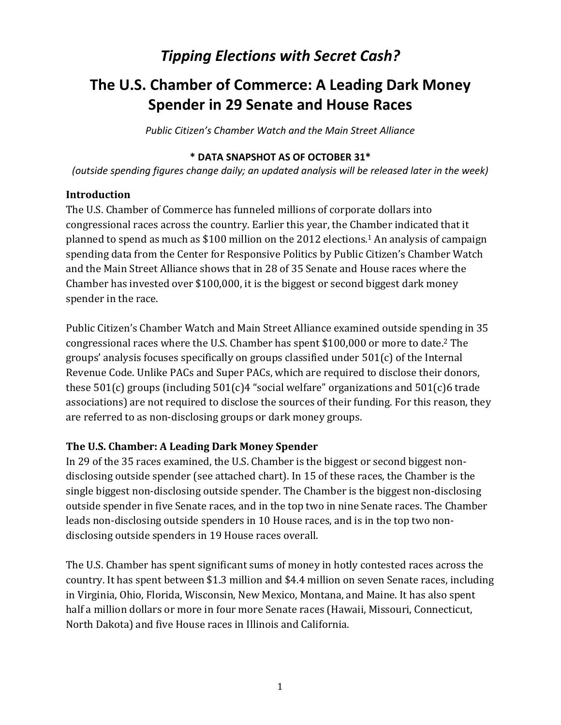## *Tipping Elections with Secret Cash?*

## **The U.S. Chamber of Commerce: A Leading Dark Money Spender in 29 Senate and House Races**

*Public Citizen's Chamber Watch and the Main Street Alliance*

#### **\* DATA SNAPSHOT AS OF OCTOBER 31\***

*(outside spending figures change daily; an updated analysis will be released later in the week)*

#### **Introduction**

The U.S. Chamber of Commerce has funneled millions of corporate dollars into congressional races across the country. Earlier this year, the Chamber indicated that it planned to spend as much as \$100 million on the 2012 elections. <sup>1</sup> An analysis of campaign spending data from the Center for Responsive Politics by Public Citizen's Chamber Watch and the Main Street Alliance shows that in 28 of 35 Senate and House races where the Chamber has invested over \$100,000, it is the biggest or second biggest dark money spender in the race.

Public Citizen's Chamber Watch and Main Street Alliance examined outside spending in 35 congressional races where the U.S. Chamber has spent \$100,000 or more to date. <sup>2</sup> The groups' analysis focuses specifically on groups classified under 501(c) of the Internal Revenue Code. Unlike PACs and Super PACs, which are required to disclose their donors, these 501(c) groups (including 501(c)4 "social welfare" organizations and 501(c)6 trade associations) are not required to disclose the sources of their funding. For this reason, they are referred to as non-disclosing groups or dark money groups.

#### **The U.S. Chamber: A Leading Dark Money Spender**

In 29 of the 35 races examined, the U.S. Chamber is the biggest or second biggest nondisclosing outside spender (see attached chart). In 15 of these races, the Chamber is the single biggest non-disclosing outside spender. The Chamber is the biggest non-disclosing outside spender in five Senate races, and in the top two in nine Senate races. The Chamber leads non-disclosing outside spenders in 10 House races, and is in the top two nondisclosing outside spenders in 19 House races overall.

The U.S. Chamber has spent significant sums of money in hotly contested races across the country. It has spent between \$1.3 million and \$4.4 million on seven Senate races, including in Virginia, Ohio, Florida, Wisconsin, New Mexico, Montana, and Maine. It has also spent half a million dollars or more in four more Senate races (Hawaii, Missouri, Connecticut, North Dakota) and five House races in Illinois and California.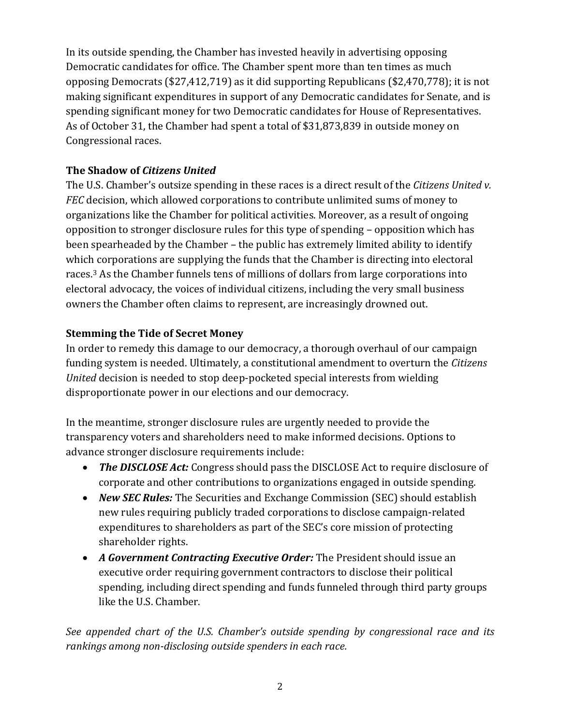In its outside spending, the Chamber has invested heavily in advertising opposing Democratic candidates for office. The Chamber spent more than ten times as much opposing Democrats (\$27,412,719) as it did supporting Republicans (\$2,470,778); it is not making significant expenditures in support of any Democratic candidates for Senate, and is spending significant money for two Democratic candidates for House of Representatives. As of October 31, the Chamber had spent a total of \$31,873,839 in outside money on Congressional races.

### **The Shadow of** *Citizens United*

The U.S. Chamber's outsize spending in these races is a direct result of the *Citizens United v. FEC* decision, which allowed corporations to contribute unlimited sums of money to organizations like the Chamber for political activities. Moreover, as a result of ongoing opposition to stronger disclosure rules for this type of spending – opposition which has been spearheaded by the Chamber – the public has extremely limited ability to identify which corporations are supplying the funds that the Chamber is directing into electoral races.<sup>3</sup> As the Chamber funnels tens of millions of dollars from large corporations into electoral advocacy, the voices of individual citizens, including the very small business owners the Chamber often claims to represent, are increasingly drowned out.

#### **Stemming the Tide of Secret Money**

In order to remedy this damage to our democracy, a thorough overhaul of our campaign funding system is needed. Ultimately, a constitutional amendment to overturn the *Citizens United* decision is needed to stop deep-pocketed special interests from wielding disproportionate power in our elections and our democracy.

In the meantime, stronger disclosure rules are urgently needed to provide the transparency voters and shareholders need to make informed decisions. Options to advance stronger disclosure requirements include:

- The DISCLOSE Act: Congress should pass the DISCLOSE Act to require disclosure of corporate and other contributions to organizations engaged in outside spending.
- *New SEC Rules:* The Securities and Exchange Commission (SEC) should establish new rules requiring publicly traded corporations to disclose campaign-related expenditures to shareholders as part of the SEC's core mission of protecting shareholder rights.
- *A Government Contracting Executive Order:* The President should issue an executive order requiring government contractors to disclose their political spending, including direct spending and funds funneled through third party groups like the U.S. Chamber.

*See appended chart of the U.S. Chamber's outside spending by congressional race and its rankings among non-disclosing outside spenders in each race.*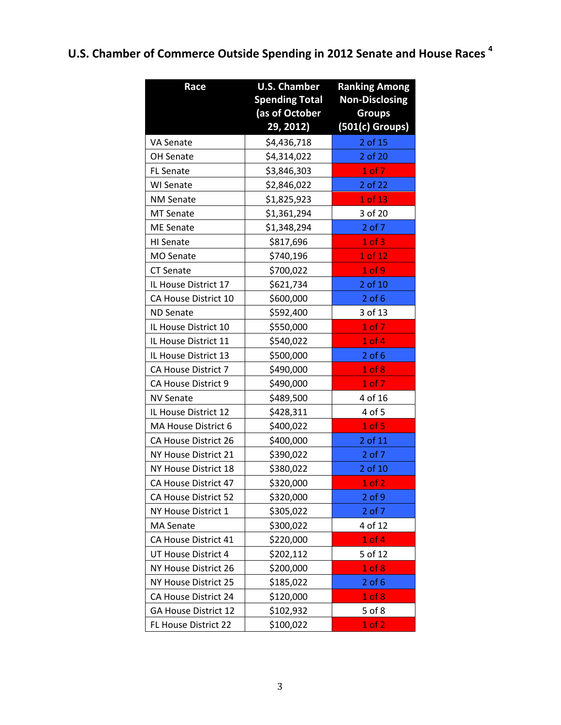# **U.S. Chamber of Commerce Outside Spending in 2012 Senate and House Races <sup>4</sup>**

| Race                 | <b>U.S. Chamber</b>   | <b>Ranking Among</b>  |
|----------------------|-----------------------|-----------------------|
|                      | <b>Spending Total</b> | <b>Non-Disclosing</b> |
|                      | (as of October        | <b>Groups</b>         |
|                      | 29, 2012)             | (501(c) Groups)       |
| <b>VA Senate</b>     | \$4,436,718           | 2 of 15               |
| OH Senate            | \$4,314,022           | 2 of 20               |
| <b>FL Senate</b>     | \$3,846,303           | 1 of 7                |
| <b>WI Senate</b>     | \$2,846,022           | 2 of 22               |
| <b>NM Senate</b>     | \$1,825,923           | 1 of 13               |
| <b>MT Senate</b>     | \$1,361,294           | 3 of 20               |
| <b>ME Senate</b>     | \$1,348,294           | 2 of 7                |
| HI Senate            | \$817,696             | $1$ of $3$            |
| <b>MO Senate</b>     | \$740,196             | 1 of 12               |
| <b>CT Senate</b>     | \$700,022             | 1 of 9                |
| IL House District 17 | \$621,734             | 2 of 10               |
| CA House District 10 | \$600,000             | $2$ of $6$            |
| <b>ND Senate</b>     | \$592,400             | 3 of 13               |
| IL House District 10 | \$550,000             | 1 of 7                |
| IL House District 11 | \$540,022             | $1$ of $4$            |
| IL House District 13 | \$500,000             | $2$ of $6$            |
| CA House District 7  | \$490,000             | 1 of 8                |
| CA House District 9  | \$490,000             | 1 of 7                |
| <b>NV Senate</b>     | \$489,500             | 4 of 16               |
| IL House District 12 | \$428,311             | 4 of 5                |
| MA House District 6  | \$400,022             | 1 of 5                |
| CA House District 26 | \$400,000             | 2 of 11               |
| NY House District 21 | \$390,022             | 2 of 7                |
| NY House District 18 | \$380,022             | 2 of 10               |
| CA House District 47 | \$320,000             | 1 of 2                |
| CA House District 52 | \$320,000             | $2$ of $9$            |
| NY House District 1  | \$305,022             | $2$ of $7$            |
| <b>MA Senate</b>     | \$300,022             | 4 of 12               |
| CA House District 41 | \$220,000             | $1$ of $4$            |
| UT House District 4  | \$202,112             | 5 of 12               |
| NY House District 26 | \$200,000             | $1$ of $8$            |
| NY House District 25 | \$185,022             | $2$ of $6$            |
| CA House District 24 | \$120,000             | $1$ of $8$            |
| GA House District 12 | \$102,932             | 5 of 8                |
| FL House District 22 | \$100,022             | 1 of 2                |